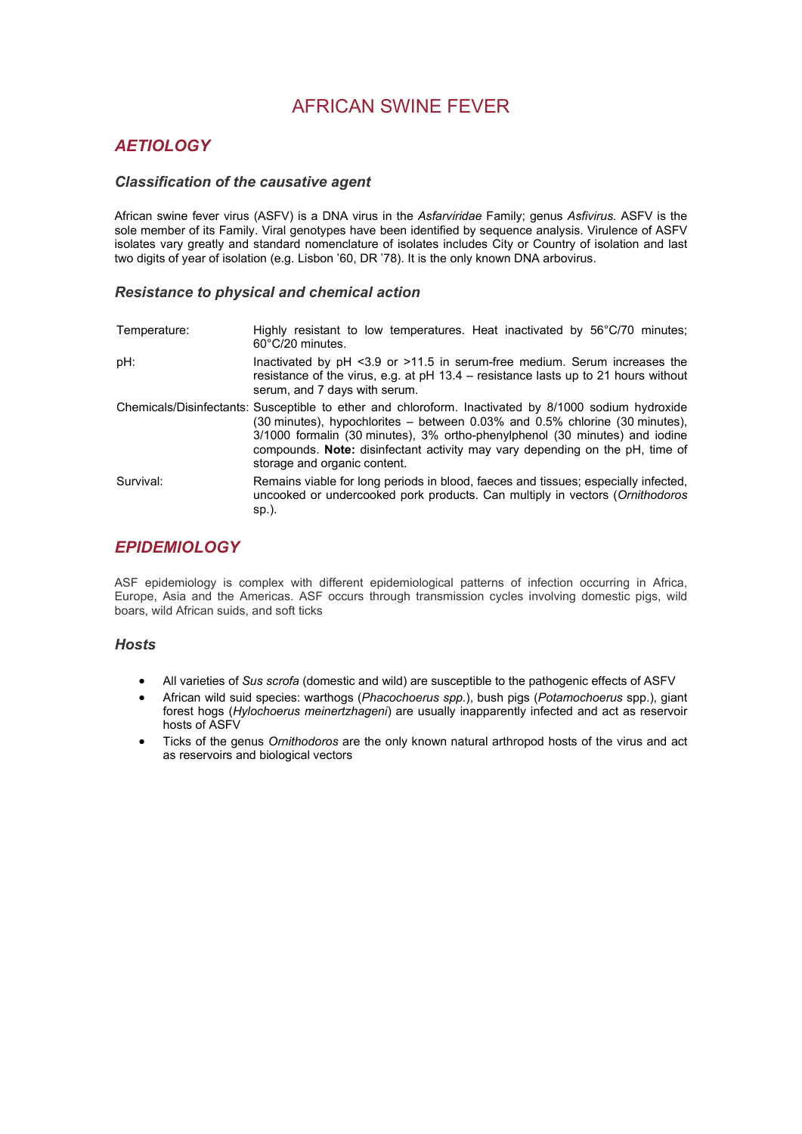# AFRICAN SWINE FEVER

# *AETIOLOGY*

### *Classification of the causative agent*

African swine fever virus (ASFV) is a DNA virus in the *Asfarviridae* Family; genus *Asfivirus.* ASFV is the sole member of its Family. Viral genotypes have been identified by sequence analysis. Virulence of ASFV isolates vary greatly and standard nomenclature of isolates includes City or Country of isolation and last two digits of year of isolation (e.g. Lisbon '60, DR '78). It is the only known DNA arbovirus.

### *Resistance to physical and chemical action*

| Temperature: | Highly resistant to low temperatures. Heat inactivated by 56°C/70 minutes;<br>60°C/20 minutes.                                                                                                                                                                                                                                                                                       |
|--------------|--------------------------------------------------------------------------------------------------------------------------------------------------------------------------------------------------------------------------------------------------------------------------------------------------------------------------------------------------------------------------------------|
| pH:          | Inactivated by $pH < 3.9$ or $>11.5$ in serum-free medium. Serum increases the<br>resistance of the virus, e.g. at $pH 13.4$ – resistance lasts up to 21 hours without<br>serum, and 7 days with serum.                                                                                                                                                                              |
|              | Chemicals/Disinfectants: Susceptible to ether and chloroform. Inactivated by 8/1000 sodium hydroxide<br>(30 minutes), hypochlorites $-$ between 0.03% and 0.5% chlorine (30 minutes),<br>3/1000 formalin (30 minutes), 3% ortho-phenylphenol (30 minutes) and iodine<br>compounds. Note: disinfectant activity may vary depending on the pH, time of<br>storage and organic content. |
| Survival:    | Remains viable for long periods in blood, faeces and tissues; especially infected,<br>uncooked or undercooked pork products. Can multiply in vectors (Ornithodoros<br>sp.).                                                                                                                                                                                                          |

# *EPIDEMIOLOGY*

ASF epidemiology is complex with different epidemiological patterns of infection occurring in Africa, Europe, Asia and the Americas. ASF occurs through transmission cycles involving domestic pigs, wild boars, wild African suids, and soft ticks

# *Hosts*

- All varieties of *Sus scrofa* (domestic and wild) are susceptible to the pathogenic effects of ASFV
- African wild suid species: warthogs (*Phacochoerus spp.*), bush pigs (*Potamochoerus* spp.), giant forest hogs (*Hylochoerus meinertzhageni*) are usually inapparently infected and act as reservoir hosts of ASFV
- Ticks of the genus *Ornithodoros* are the only known natural arthropod hosts of the virus and act as reservoirs and biological vectors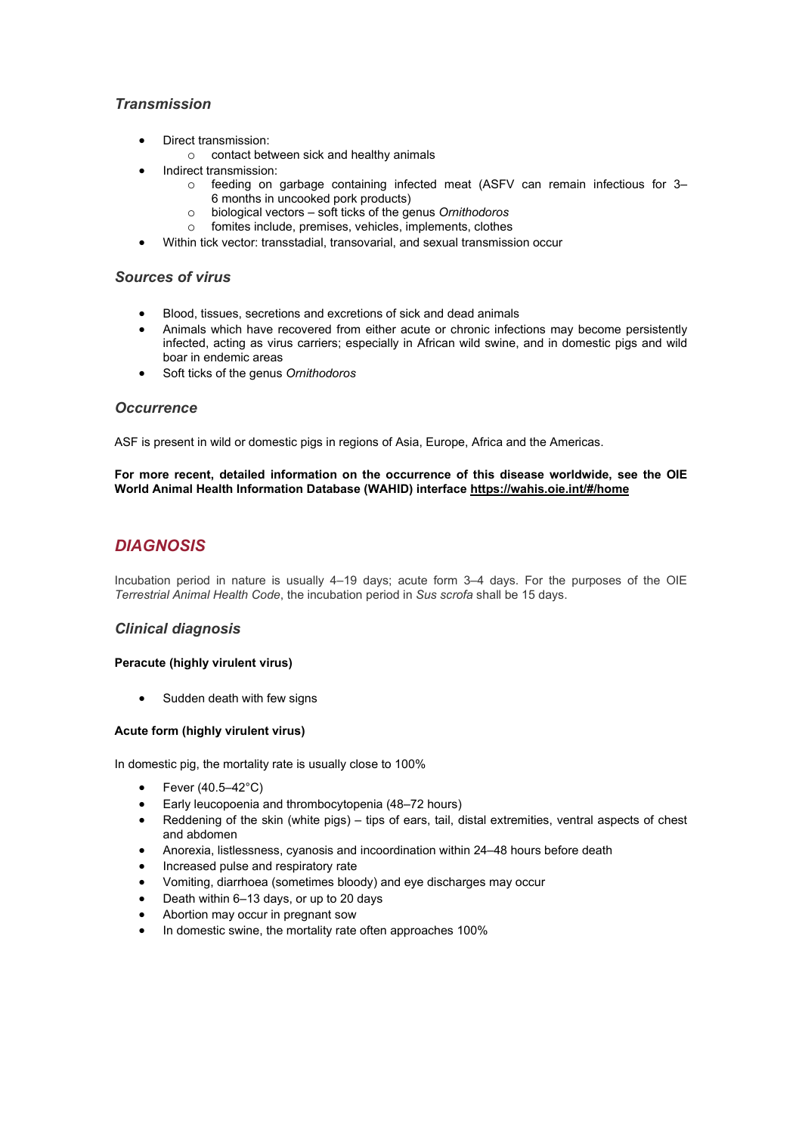# *Transmission*

- Direct transmission:
	- o contact between sick and healthy animals
- Indirect transmission:
	- o feeding on garbage containing infected meat (ASFV can remain infectious for 3– 6 months in uncooked pork products)
	- o biological vectors soft ticks of the genus *Ornithodoros*
	- $\circ$  fomites include, premises, vehicles, implements, clothes
- Within tick vector: transstadial, transovarial, and sexual transmission occur

### *Sources of virus*

- Blood, tissues, secretions and excretions of sick and dead animals
- Animals which have recovered from either acute or chronic infections may become persistently infected, acting as virus carriers; especially in African wild swine, and in domestic pigs and wild boar in endemic areas
- Soft ticks of the genus *Ornithodoros*

### *Occurrence*

ASF is present in wild or domestic pigs in regions of Asia, Europe, Africa and the Americas.

#### **For more recent, detailed information on the occurrence of this disease worldwide, see the OIE World Animal Health Information Database (WAHID) interface<https://wahis.oie.int/#/home>**

# *DIAGNOSIS*

Incubation period in nature is usually 4–19 days; acute form 3–4 days. For the purposes of the OIE *Terrestrial Animal Health Code*, the incubation period in *Sus scrofa* shall be 15 days.

## *Clinical diagnosis*

#### **Peracute (highly virulent virus)**

• Sudden death with few signs

#### **Acute form (highly virulent virus)**

In domestic pig, the mortality rate is usually close to 100%

- Fever (40.5–42°C)
- Early leucopoenia and thrombocytopenia (48–72 hours)
- Reddening of the skin (white pigs) tips of ears, tail, distal extremities, ventral aspects of chest and abdomen
- Anorexia, listlessness, cyanosis and incoordination within 24–48 hours before death
- Increased pulse and respiratory rate
- Vomiting, diarrhoea (sometimes bloody) and eye discharges may occur
- Death within 6–13 days, or up to 20 days
- Abortion may occur in pregnant sow
- In domestic swine, the mortality rate often approaches 100%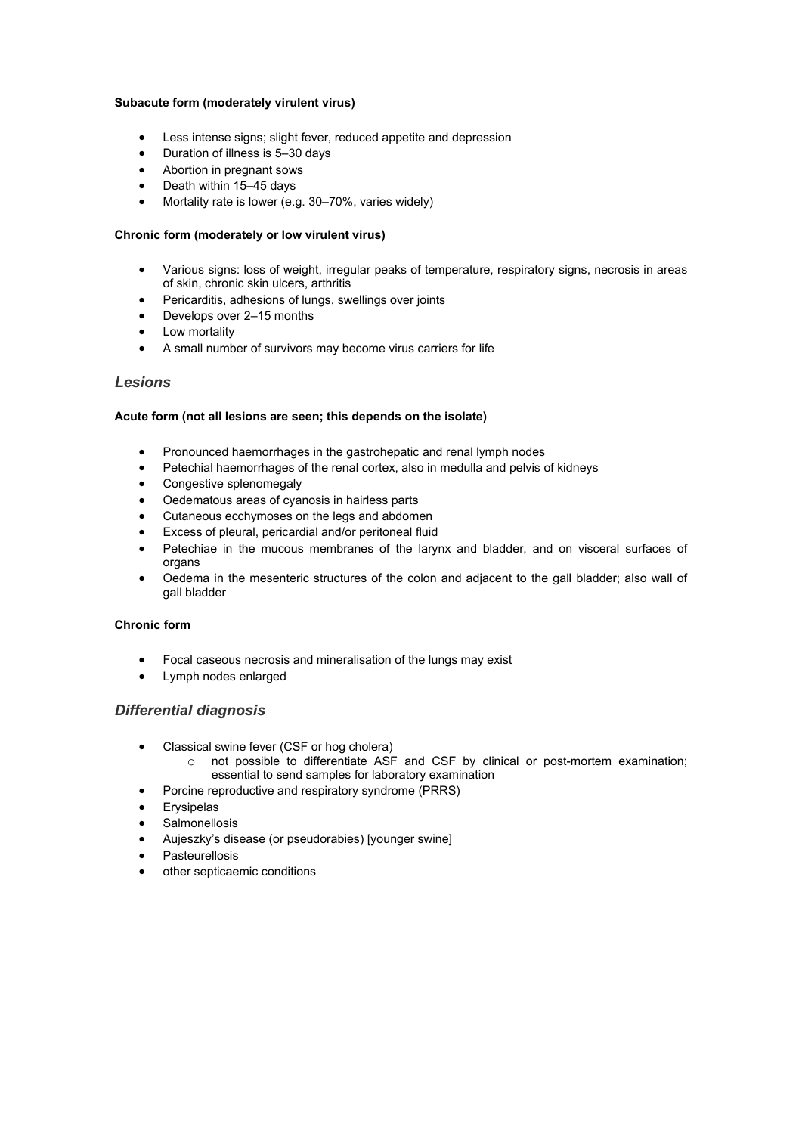#### **Subacute form (moderately virulent virus)**

- Less intense signs; slight fever, reduced appetite and depression
- Duration of illness is 5–30 days
- Abortion in pregnant sows
- Death within 15–45 days
- Mortality rate is lower (e.g. 30–70%, varies widely)

#### **Chronic form (moderately or low virulent virus)**

- Various signs: loss of weight, irregular peaks of temperature, respiratory signs, necrosis in areas of skin, chronic skin ulcers, arthritis
- Pericarditis, adhesions of lungs, swellings over joints
- Develops over 2–15 months
- Low mortality
- A small number of survivors may become virus carriers for life

#### *Lesions*

### **Acute form (not all lesions are seen; this depends on the isolate)**

- Pronounced haemorrhages in the gastrohepatic and renal lymph nodes
- Petechial haemorrhages of the renal cortex, also in medulla and pelvis of kidneys
- Congestive splenomegaly
- Oedematous areas of cyanosis in hairless parts
- Cutaneous ecchymoses on the legs and abdomen
- Excess of pleural, pericardial and/or peritoneal fluid
- Petechiae in the mucous membranes of the larynx and bladder, and on visceral surfaces of organs
- Oedema in the mesenteric structures of the colon and adjacent to the gall bladder; also wall of gall bladder

#### **Chronic form**

- Focal caseous necrosis and mineralisation of the lungs may exist
- Lymph nodes enlarged

#### *Differential diagnosis*

- Classical swine fever (CSF or hog cholera)
	- $\circ$  not possible to differentiate ASF and CSF by clinical or post-mortem examination; essential to send samples for laboratory examination
- Porcine reproductive and respiratory syndrome (PRRS)
- Erysipelas
- **Salmonellosis**
- Aujeszky's disease (or pseudorabies) [younger swine]
- Pasteurellosis
- other septicaemic conditions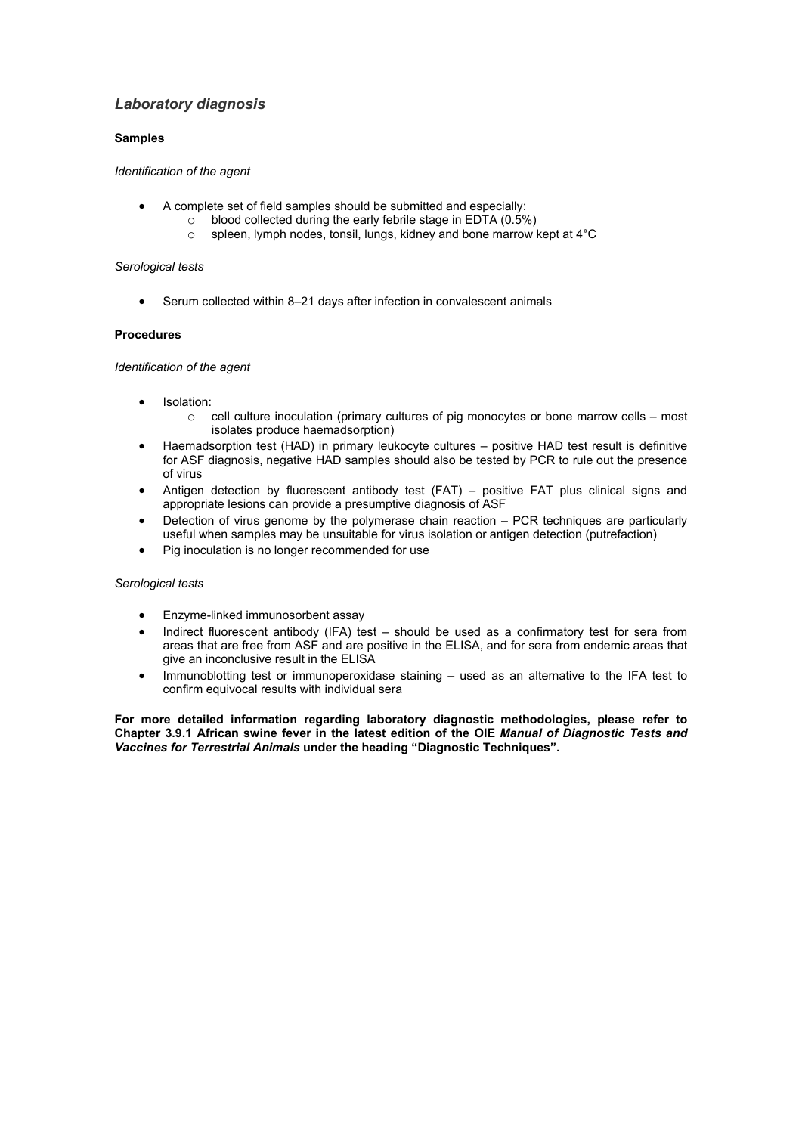# *Laboratory diagnosis*

### **Samples**

*Identification of the agent*

- A complete set of field samples should be submitted and especially:
	- $\circ$  blood collected during the early febrile stage in EDTA (0.5%)<br>
	spleen, lymph nodes, tonsil, lungs, kidney and bone marrow in
		- spleen, lymph nodes, tonsil, lungs, kidney and bone marrow kept at 4°C

#### *Serological tests*

Serum collected within 8-21 days after infection in convalescent animals

#### **Procedures**

#### *Identification of the agent*

- Isolation:
	- $\circ$  cell culture inoculation (primary cultures of pig monocytes or bone marrow cells most isolates produce haemadsorption)
- Haemadsorption test (HAD) in primary leukocyte cultures positive HAD test result is definitive for ASF diagnosis, negative HAD samples should also be tested by PCR to rule out the presence of virus
- Antigen detection by fluorescent antibody test (FAT) positive FAT plus clinical signs and appropriate lesions can provide a presumptive diagnosis of ASF
- Detection of virus genome by the polymerase chain reaction PCR techniques are particularly useful when samples may be unsuitable for virus isolation or antigen detection (putrefaction)
- Pig inoculation is no longer recommended for use

#### *Serological tests*

- Enzyme-linked immunosorbent assay
- Indirect fluorescent antibody (IFA) test should be used as a confirmatory test for sera from areas that are free from ASF and are positive in the ELISA, and for sera from endemic areas that give an inconclusive result in the ELISA
- Immunoblotting test or immunoperoxidase staining used as an alternative to the IFA test to confirm equivocal results with individual sera

**For more detailed information regarding laboratory diagnostic methodologies, please refer to Chapter 3.9.1 African swine fever in the latest edition of the OIE** *Manual of Diagnostic Tests and Vaccines for Terrestrial Animals* **under the heading "Diagnostic Techniques".**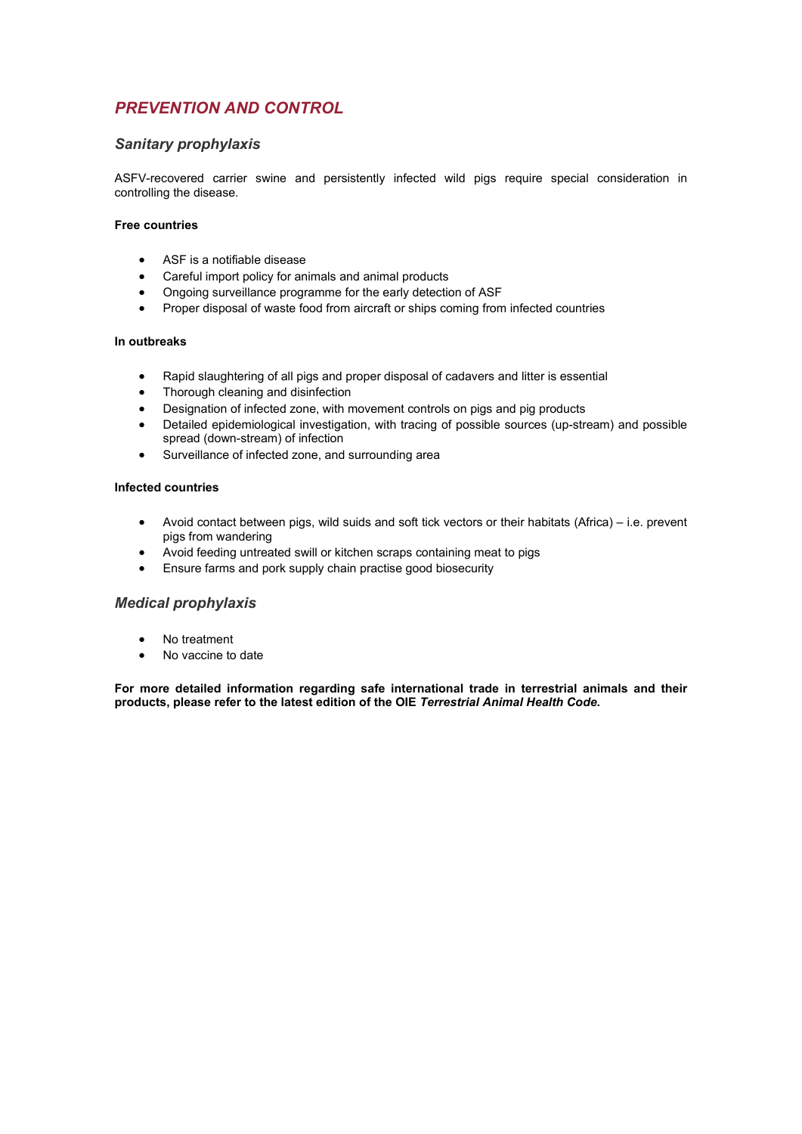# *PREVENTION AND CONTROL*

# *Sanitary prophylaxis*

ASFV-recovered carrier swine and persistently infected wild pigs require special consideration in controlling the disease.

#### **Free countries**

- ASF is a notifiable disease
- Careful import policy for animals and animal products
- Ongoing surveillance programme for the early detection of ASF
- Proper disposal of waste food from aircraft or ships coming from infected countries

#### **In outbreaks**

- Rapid slaughtering of all pigs and proper disposal of cadavers and litter is essential
- Thorough cleaning and disinfection
- Designation of infected zone, with movement controls on pigs and pig products
- Detailed epidemiological investigation, with tracing of possible sources (up-stream) and possible spread (down-stream) of infection
- Surveillance of infected zone, and surrounding area

#### **Infected countries**

- Avoid contact between pigs, wild suids and soft tick vectors or their habitats (Africa) i.e. prevent pigs from wandering
- Avoid feeding untreated swill or kitchen scraps containing meat to pigs
- Ensure farms and pork supply chain practise good biosecurity

## *Medical prophylaxis*

- No treatment
- No vaccine to date

**For more detailed information regarding safe international trade in terrestrial animals and their products, please refer to the latest edition of the OIE** *Terrestrial Animal Health Code***.**